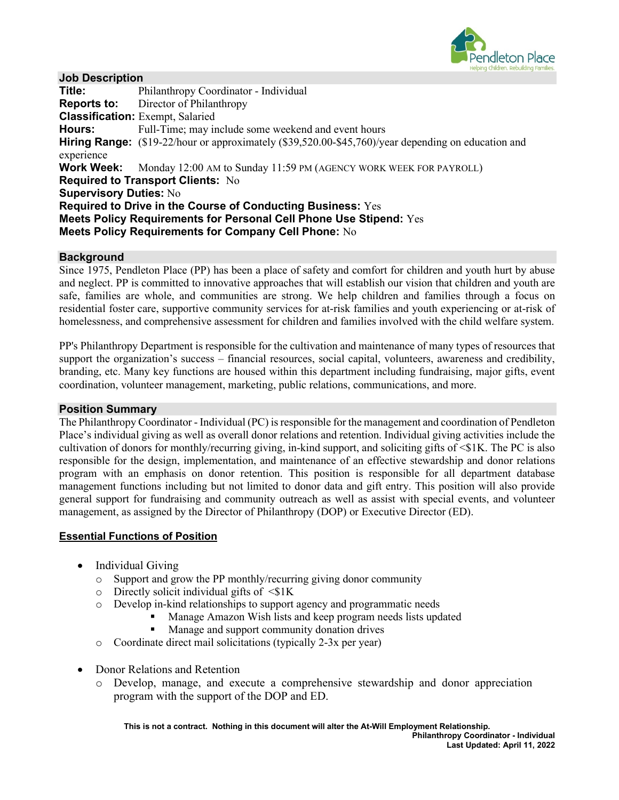

### **Job Description**

**Title:** Philanthropy Coordinator - Individual **Reports to:** Director of Philanthropy **Classification:** Exempt, Salaried **Hours:** Full-Time; may include some weekend and event hours **Hiring Range:** (\$19-22/hour or approximately (\$39,520.00-\$45,760)/year depending on education and experience **Work Week:** Monday 12:00 AM to Sunday 11:59 PM (AGENCY WORK WEEK FOR PAYROLL) **Required to Transport Clients:** No **Supervisory Duties:** No **Required to Drive in the Course of Conducting Business:** Yes **Meets Policy Requirements for Personal Cell Phone Use Stipend:** Yes **Meets Policy Requirements for Company Cell Phone:** No

### **Background**

Since 1975, Pendleton Place (PP) has been a place of safety and comfort for children and youth hurt by abuse and neglect. PP is committed to innovative approaches that will establish our vision that children and youth are safe, families are whole, and communities are strong. We help children and families through a focus on residential foster care, supportive community services for at-risk families and youth experiencing or at-risk of homelessness, and comprehensive assessment for children and families involved with the child welfare system.

PP's Philanthropy Department is responsible for the cultivation and maintenance of many types of resources that support the organization's success – financial resources, social capital, volunteers, awareness and credibility, branding, etc. Many key functions are housed within this department including fundraising, major gifts, event coordination, volunteer management, marketing, public relations, communications, and more.

#### **Position Summary**

The Philanthropy Coordinator - Individual (PC) is responsible for the management and coordination of Pendleton Place's individual giving as well as overall donor relations and retention. Individual giving activities include the cultivation of donors for monthly/recurring giving, in-kind support, and soliciting gifts of <\$1K. The PC is also responsible for the design, implementation, and maintenance of an effective stewardship and donor relations program with an emphasis on donor retention. This position is responsible for all department database management functions including but not limited to donor data and gift entry. This position will also provide general support for fundraising and community outreach as well as assist with special events, and volunteer management, as assigned by the Director of Philanthropy (DOP) or Executive Director (ED).

#### **Essential Functions of Position**

- Individual Giving
	- o Support and grow the PP monthly/recurring giving donor community
	- $\circ$  Directly solicit individual gifts of  $\leq$ \$1K
	- o Develop in-kind relationships to support agency and programmatic needs
		- Manage Amazon Wish lists and keep program needs lists updated
		- Manage and support community donation drives
	- o Coordinate direct mail solicitations (typically 2-3x per year)
- Donor Relations and Retention
	- o Develop, manage, and execute a comprehensive stewardship and donor appreciation program with the support of the DOP and ED.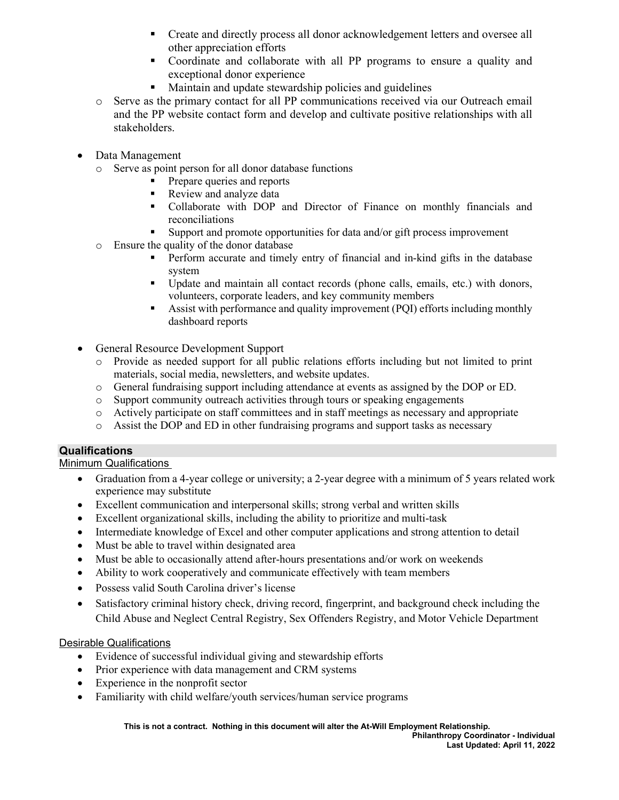- Create and directly process all donor acknowledgement letters and oversee all other appreciation efforts
- Coordinate and collaborate with all PP programs to ensure a quality and exceptional donor experience
- **Maintain and update stewardship policies and guidelines**
- o Serve as the primary contact for all PP communications received via our Outreach email and the PP website contact form and develop and cultivate positive relationships with all stakeholders.
- Data Management
	- o Serve as point person for all donor database functions
		- Prepare queries and reports
		- Review and analyze data
		- Collaborate with DOP and Director of Finance on monthly financials and reconciliations
		- Support and promote opportunities for data and/or gift process improvement
	- o Ensure the quality of the donor database
		- Perform accurate and timely entry of financial and in-kind gifts in the database system
		- Update and maintain all contact records (phone calls, emails, etc.) with donors, volunteers, corporate leaders, and key community members
		- Assist with performance and quality improvement (PQI) efforts including monthly dashboard reports
- General Resource Development Support
	- o Provide as needed support for all public relations efforts including but not limited to print materials, social media, newsletters, and website updates.
	- o General fundraising support including attendance at events as assigned by the DOP or ED.
	- Support community outreach activities through tours or speaking engagements
	- o Actively participate on staff committees and in staff meetings as necessary and appropriate
	- o Assist the DOP and ED in other fundraising programs and support tasks as necessary

# **Qualifications**

Minimum Qualifications

- Graduation from a 4-year college or university; a 2-year degree with a minimum of 5 years related work experience may substitute
- Excellent communication and interpersonal skills; strong verbal and written skills
- Excellent organizational skills, including the ability to prioritize and multi-task
- Intermediate knowledge of Excel and other computer applications and strong attention to detail
- Must be able to travel within designated area
- Must be able to occasionally attend after-hours presentations and/or work on weekends
- Ability to work cooperatively and communicate effectively with team members
- Possess valid South Carolina driver's license
- Satisfactory criminal history check, driving record, fingerprint, and background check including the Child Abuse and Neglect Central Registry, Sex Offenders Registry, and Motor Vehicle Department

# Desirable Qualifications

- Evidence of successful individual giving and stewardship efforts
- Prior experience with data management and CRM systems
- Experience in the nonprofit sector
- Familiarity with child welfare/youth services/human service programs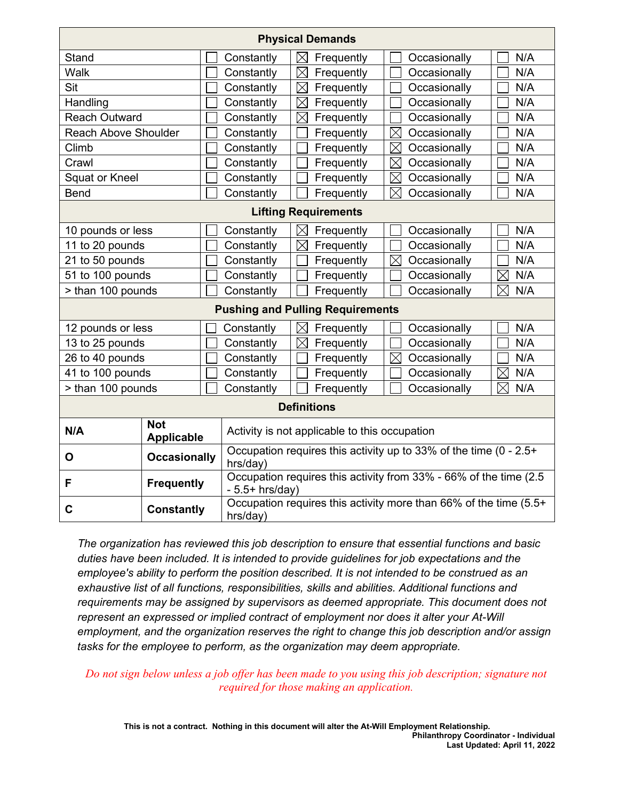| <b>Physical Demands</b>                 |                                                                                  |                                                                                        |                                                                   |                             |                    |
|-----------------------------------------|----------------------------------------------------------------------------------|----------------------------------------------------------------------------------------|-------------------------------------------------------------------|-----------------------------|--------------------|
| Stand                                   |                                                                                  | Constantly                                                                             | Frequently<br>$\boxtimes$                                         | Occasionally                | N/A                |
| Walk                                    |                                                                                  | Constantly                                                                             | $\boxtimes$<br>Frequently                                         | Occasionally                | N/A                |
| Sit                                     |                                                                                  | Constantly                                                                             | $\boxtimes$<br>Frequently                                         | Occasionally                | N/A                |
| Handling                                |                                                                                  | Constantly                                                                             | $\boxtimes$<br>Frequently                                         | Occasionally                | N/A                |
| <b>Reach Outward</b>                    |                                                                                  | Constantly                                                                             | $\boxtimes$<br>Frequently                                         | Occasionally                | N/A                |
| <b>Reach Above Shoulder</b>             |                                                                                  | Constantly                                                                             | Frequently                                                        | $\boxtimes$<br>Occasionally | N/A                |
| Climb                                   |                                                                                  | Constantly                                                                             | Frequently                                                        | $\boxtimes$<br>Occasionally | N/A                |
| Crawl                                   |                                                                                  | Constantly                                                                             | Frequently                                                        | $\boxtimes$<br>Occasionally | N/A                |
| <b>Squat or Kneel</b>                   |                                                                                  | Constantly                                                                             | Frequently                                                        | $\boxtimes$<br>Occasionally | N/A                |
| <b>Bend</b>                             |                                                                                  | Constantly                                                                             | Frequently                                                        | $\boxtimes$<br>Occasionally | N/A                |
| <b>Lifting Requirements</b>             |                                                                                  |                                                                                        |                                                                   |                             |                    |
| 10 pounds or less                       |                                                                                  | Constantly                                                                             | Frequently<br>$\boxtimes$                                         | Occasionally                | N/A                |
| 11 to 20 pounds                         |                                                                                  | Constantly                                                                             | Frequently<br>$\boxtimes$                                         | Occasionally                | N/A                |
| 21 to 50 pounds                         |                                                                                  | Constantly                                                                             | Frequently                                                        | $\boxtimes$<br>Occasionally | N/A                |
| 51 to 100 pounds                        |                                                                                  | Constantly                                                                             | Frequently                                                        | Occasionally                | $\boxtimes$<br>N/A |
| > than 100 pounds                       |                                                                                  | Constantly                                                                             | Frequently                                                        | Occasionally                | $\boxtimes$<br>N/A |
| <b>Pushing and Pulling Requirements</b> |                                                                                  |                                                                                        |                                                                   |                             |                    |
| 12 pounds or less                       |                                                                                  | Constantly                                                                             | $\boxtimes$<br>Frequently                                         | Occasionally                | N/A                |
| 13 to 25 pounds                         |                                                                                  | Constantly                                                                             | $\boxtimes$<br>Frequently                                         | Occasionally                | N/A                |
| 26 to 40 pounds                         |                                                                                  | Constantly                                                                             | Frequently                                                        | $\boxtimes$<br>Occasionally | N/A                |
| 41 to 100 pounds                        |                                                                                  | Constantly                                                                             | Frequently                                                        | Occasionally                | N/A<br>$\boxtimes$ |
| > than 100 pounds                       |                                                                                  | Constantly                                                                             | Frequently                                                        | Occasionally                | N/A<br>⋉           |
| <b>Definitions</b>                      |                                                                                  |                                                                                        |                                                                   |                             |                    |
| N/A                                     | <b>Not</b><br>Activity is not applicable to this occupation<br><b>Applicable</b> |                                                                                        |                                                                   |                             |                    |
| O                                       | <b>Occasionally</b>                                                              | hrs/day)                                                                               | Occupation requires this activity up to 33% of the time (0 - 2.5+ |                             |                    |
| F                                       | <b>Frequently</b>                                                                | Occupation requires this activity from 33% - 66% of the time (2.5)<br>$-5.5+$ hrs/day) |                                                                   |                             |                    |
| <b>Constantly</b><br>C                  |                                                                                  | Occupation requires this activity more than 66% of the time (5.5+<br>hrs/day)          |                                                                   |                             |                    |

*The organization has reviewed this job description to ensure that essential functions and basic duties have been included. It is intended to provide guidelines for job expectations and the employee's ability to perform the position described. It is not intended to be construed as an exhaustive list of all functions, responsibilities, skills and abilities. Additional functions and requirements may be assigned by supervisors as deemed appropriate. This document does not represent an expressed or implied contract of employment nor does it alter your At-Will employment, and the organization reserves the right to change this job description and/or assign tasks for the employee to perform, as the organization may deem appropriate.*

# *Do not sign below unless a job offer has been made to you using this job description; signature not required for those making an application.*